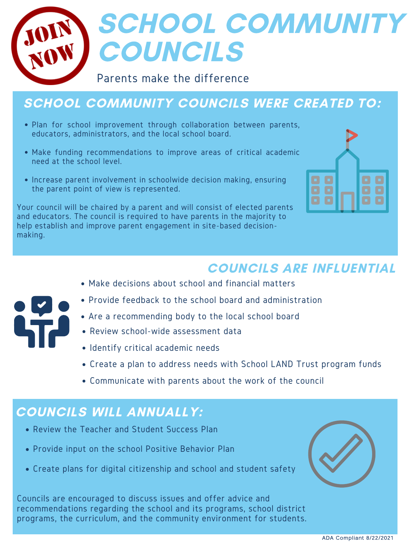

# SCHOOL COMMUNITY COUNCILS

#### Parents make the difference

### SCHOOL COMMUNITY COUNCILS WERE CREATED TO:

- Plan for school improvement through collaboration between parents, educators, administrators, and the local school board.
- Make funding recommendations to improve areas of critical academic need at the school level.
- Increase parent involvement in schoolwide decision making, ensuring the parent point of view is represented.

Your council will be chaired by a parent and will consist of elected parents and educators. The council is required to have parents in the majority to help establish and improve parent engagement in site-based decisionmaking.



#### COUNCILS ARE INFLUENTIAL

Make decisions about school and financial matters



- Provide feedback to the school board and administration
- Are a recommending body to the local school board
- Review school-wide assessment data
- Identify critical academic needs
- Create a plan to address needs with School LAND Trust program funds
- Communicate with parents about the work of the council

#### COUNCILS WILL ANNUALLY:

- Review the Teacher and Student Success Plan
- Provide input on the school Positive Behavior Plan
- Create plans for digital citizenship and school and student safety

Councils are encouraged to discuss issues and offer advice and recommendations regarding the school and its programs, school district programs, the curriculum, and the community environment for students.